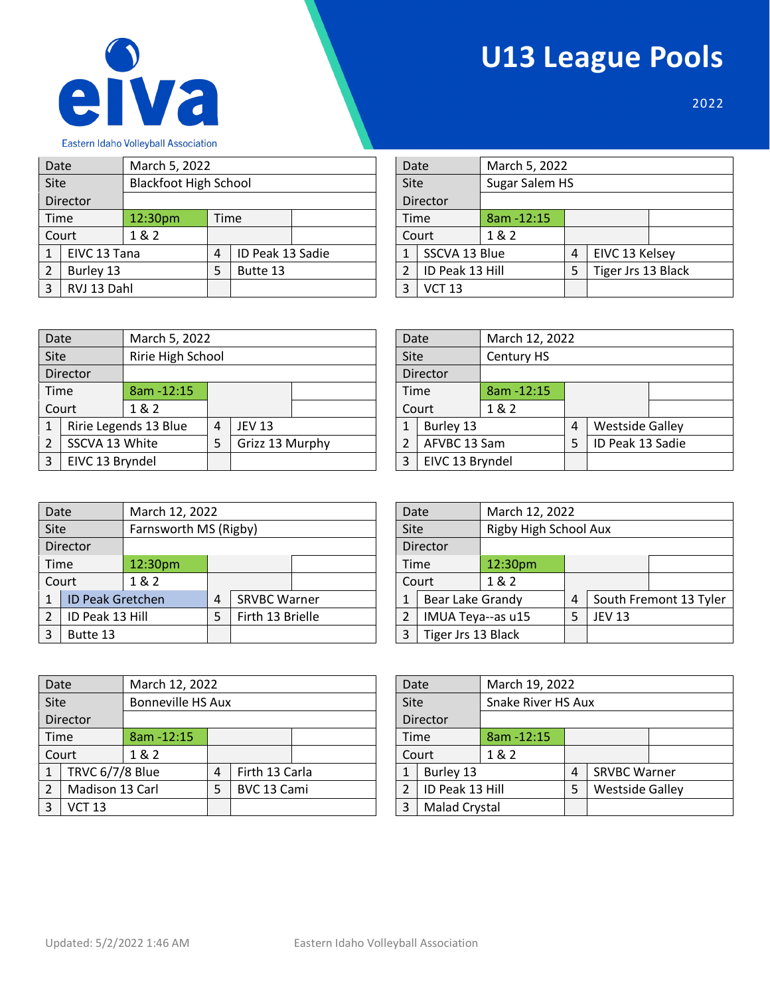



2022

| Date         |              | March 5, 2022                |             |                  |               | Date        |                 | March 5, 2022  |   |                    |  |
|--------------|--------------|------------------------------|-------------|------------------|---------------|-------------|-----------------|----------------|---|--------------------|--|
| Site         |              | <b>Blackfoot High School</b> |             |                  |               | <b>Site</b> |                 | Sugar Salem HS |   |                    |  |
|              | Director     |                              |             |                  |               |             | Director        |                |   |                    |  |
| Time         |              | 12:30pm                      | <b>Time</b> |                  |               | <b>Time</b> |                 | 8am - 12:15    |   |                    |  |
|              | Court        | 1&2                          |             |                  |               |             | Court           | 1&2            |   |                    |  |
| $\mathbf{1}$ | EIVC 13 Tana |                              | 4           | ID Peak 13 Sadie |               | 1           | SSCVA 13 Blue   |                | 4 | EIVC 13 Kelsey     |  |
| 2            | Burley 13    |                              | 5           | Butte 13         |               | 2           | ID Peak 13 Hill |                |   | Tiger Jrs 13 Black |  |
| 3            |              | RVJ 13 Dahl                  |             | 3                | <b>VCT 13</b> |             |                 |                |   |                    |  |

| Date          |                 | March 5, 2022 |                |                    |  |  |  |  |  |  |  |
|---------------|-----------------|---------------|----------------|--------------------|--|--|--|--|--|--|--|
| Site          |                 |               | Sugar Salem HS |                    |  |  |  |  |  |  |  |
|               | <b>Director</b> |               |                |                    |  |  |  |  |  |  |  |
| Time          |                 | 8am - 12:15   |                |                    |  |  |  |  |  |  |  |
|               | Court           | 1&2           |                |                    |  |  |  |  |  |  |  |
| $\mathbf{1}$  | SSCVA 13 Blue   |               | 4              | EIVC 13 Kelsey     |  |  |  |  |  |  |  |
| $\mathcal{P}$ | ID Peak 13 Hill |               | 5              | Tiger Jrs 13 Black |  |  |  |  |  |  |  |
| 3             | <b>VCT 13</b>   |               |                |                    |  |  |  |  |  |  |  |
|               |                 |               |                |                    |  |  |  |  |  |  |  |

| Date |                 | March 5, 2022         |   |                 |  |  | Date          |                 | March 12, 2022 |                |                        |  |
|------|-----------------|-----------------------|---|-----------------|--|--|---------------|-----------------|----------------|----------------|------------------------|--|
| Site |                 | Ririe High School     |   |                 |  |  | Site          |                 | Century HS     |                |                        |  |
|      | Director        |                       |   |                 |  |  |               | Director        |                |                |                        |  |
| Time |                 | 8am - 12:15           |   |                 |  |  |               | <b>Time</b>     | $8am - 12:15$  |                |                        |  |
|      | Court           | 1&2                   |   |                 |  |  |               | Court           | 1&2            |                |                        |  |
|      |                 | Ririe Legends 13 Blue | 4 | <b>JEV 13</b>   |  |  |               | Burley 13       |                | $\overline{4}$ | <b>Westside Galley</b> |  |
| 2    | SSCVA 13 White  |                       | 5 | Grizz 13 Murphy |  |  | $\mathcal{P}$ | AFVBC 13 Sam    |                | 5              | ID Peak 13 Sadie       |  |
| 3    | EIVC 13 Bryndel |                       |   |                 |  |  | 3             | EIVC 13 Bryndel |                |                |                        |  |

| Date           |                 | March 12, 2022 |   |                        |  |
|----------------|-----------------|----------------|---|------------------------|--|
| Site           |                 | Century HS     |   |                        |  |
|                | Director        |                |   |                        |  |
| Time           |                 | 8am-12:15      |   |                        |  |
|                | Court           | 1 & 2          |   |                        |  |
| 1              | Burley 13       |                | 4 | <b>Westside Galley</b> |  |
| $\overline{2}$ | AFVBC 13 Sam    |                |   | ID Peak 13 Sadie       |  |
| 3              | EIVC 13 Bryndel |                |   |                        |  |

| Date          |                  | March 12, 2022                           |   |                     |  |                   | Date     |                  | March 12, 2022        |               |       |  |
|---------------|------------------|------------------------------------------|---|---------------------|--|-------------------|----------|------------------|-----------------------|---------------|-------|--|
| Site          |                  | Farnsworth MS (Rigby)                    |   |                     |  |                   | Site     |                  | Rigby High School Aux |               |       |  |
|               | Director         |                                          |   |                     |  |                   | Director |                  |                       |               |       |  |
| Time          |                  | 12:30pm                                  |   |                     |  |                   |          | Time             | 12:30pm               |               |       |  |
|               | Court            | 1& 2                                     |   |                     |  |                   |          | Court            | 1 & 2                 |               |       |  |
| $\mathbf{1}$  | ID Peak Gretchen |                                          | 4 | <b>SRVBC Warner</b> |  |                   |          | Bear Lake Grandy |                       | 4             | South |  |
| 2             |                  | ID Peak 13 Hill<br>Firth 13 Brielle<br>5 |   |                     |  | IMUA Teya--as u15 |          |                  | 5                     | <b>JEV 13</b> |       |  |
| 3<br>Butte 13 |                  |                                          | 3 | Tiger Jrs 13 Black  |  |                   |          |                  |                       |               |       |  |

| Site           |                         | Farnsworth MS (Rigby) |   | Site                |          | Rigby High School Aux |                   |         |   |               |                        |
|----------------|-------------------------|-----------------------|---|---------------------|----------|-----------------------|-------------------|---------|---|---------------|------------------------|
|                | <b>Director</b>         |                       |   |                     | Director |                       |                   |         |   |               |                        |
|                | Time<br>12:30pm         |                       |   |                     |          | Time                  |                   | 12:30pm |   |               |                        |
|                | Court                   | 1& 2                  |   |                     |          |                       | Court             | 1 & 2   |   |               |                        |
| 1              | <b>ID Peak Gretchen</b> |                       | 4 | <b>SRVBC Warner</b> |          |                       | Bear Lake Grandy  |         | 4 |               | South Fremont 13 Tyler |
| 2 <sub>1</sub> | ID Peak 13 Hill         |                       | 5 | Firth 13 Brielle    |          |                       | IMUA Teya--as u15 |         | 5 | <b>JEV 13</b> |                        |
| 3              | Butte 13                |                       |   |                     | 3        | Tiger Jrs 13 Black    |                   |         |   |               |                        |

| Date           |                 | March 12, 2022           |   |                |      |                 | Date |                      | March 19, 2022 |                |                        |  |
|----------------|-----------------|--------------------------|---|----------------|------|-----------------|------|----------------------|----------------|----------------|------------------------|--|
| Site           |                 | <b>Bonneville HS Aux</b> |   |                | Site |                 |      | Snake River HS Aux   |                |                |                        |  |
|                | Director        |                          |   |                |      |                 |      | Director             |                |                |                        |  |
| Time           |                 | 8am - 12:15              |   |                |      |                 |      | Time                 | $8am - 12:15$  |                |                        |  |
|                | Court           | 1&2                      |   |                |      |                 |      | Court                | 1&2            |                |                        |  |
| 1              | TRVC 6/7/8 Blue |                          | 4 | Firth 13 Carla |      |                 | 1    | Burley 13            |                | $\overline{4}$ | <b>SRVBC Warner</b>    |  |
| $\mathfrak{p}$ | Madison 13 Carl |                          | 5 | BVC 13 Cami    |      | ID Peak 13 Hill |      |                      |                | 5              | <b>Westside Galley</b> |  |
| 3              | <b>VCT 13</b>   |                          |   |                |      | 3               |      | <b>Malad Crystal</b> |                |                |                        |  |

|           |                                                  | Snake River HS Aux               |                |                                               |  |  |  |  |  |  |
|-----------|--------------------------------------------------|----------------------------------|----------------|-----------------------------------------------|--|--|--|--|--|--|
|           |                                                  |                                  |                |                                               |  |  |  |  |  |  |
|           | 8am-12:15                                        |                                  |                |                                               |  |  |  |  |  |  |
|           | 1&2                                              |                                  |                |                                               |  |  |  |  |  |  |
| Burley 13 |                                                  | 4                                |                |                                               |  |  |  |  |  |  |
|           |                                                  | 5                                |                |                                               |  |  |  |  |  |  |
|           |                                                  |                                  |                |                                               |  |  |  |  |  |  |
|           | Date<br>Site<br><b>Director</b><br>Time<br>Court | ID Peak 13 Hill<br>Malad Crystal | March 19, 2022 | <b>SRVBC Warner</b><br><b>Westside Galley</b> |  |  |  |  |  |  |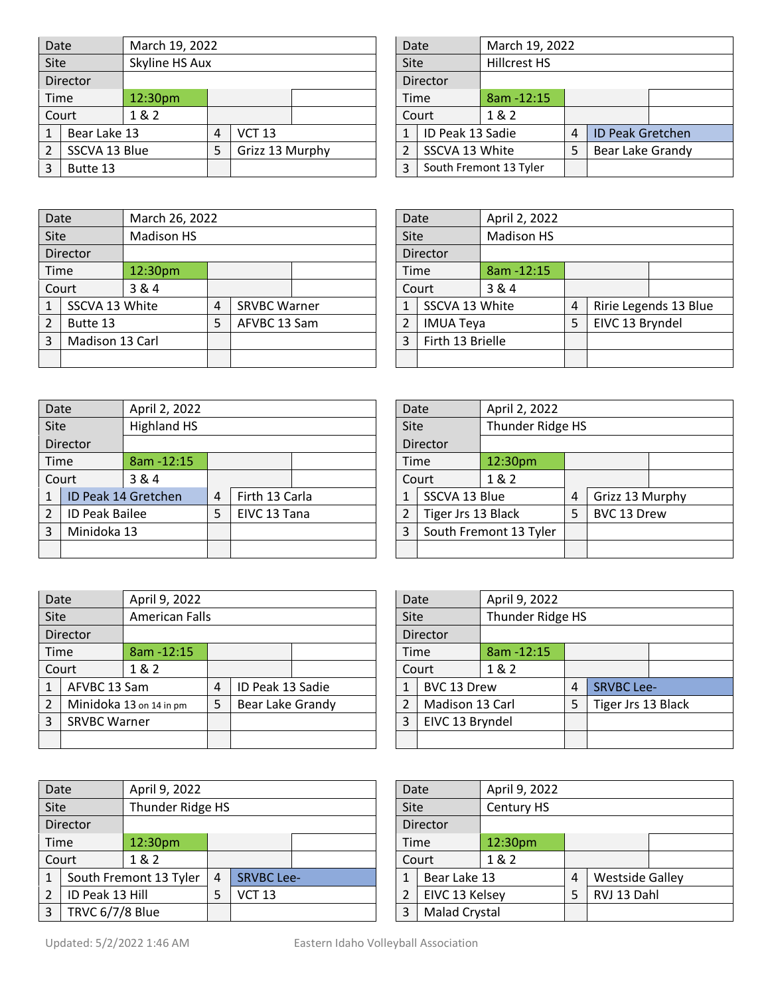| Date |               | March 19, 2022 |   |                 |  |  | Date           |                  | March 19, 2022         |   |                         |  |
|------|---------------|----------------|---|-----------------|--|--|----------------|------------------|------------------------|---|-------------------------|--|
| Site |               | Skyline HS Aux |   |                 |  |  | Site           |                  | Hillcrest HS           |   |                         |  |
|      | Director      |                |   |                 |  |  |                | Director         |                        |   |                         |  |
|      | Time          | 12:30pm        |   |                 |  |  |                | <b>Time</b>      | 8am - 12:15            |   |                         |  |
|      | Court         | 1 & 2          |   |                 |  |  |                | Court            | 1 & 2                  |   |                         |  |
|      | Bear Lake 13  |                | 4 | <b>VCT 13</b>   |  |  | 1              | ID Peak 13 Sadie |                        | 4 | <b>ID Peak Gretchen</b> |  |
|      | SSCVA 13 Blue |                | 5 | Grizz 13 Murphy |  |  | $\overline{2}$ | SSCVA 13 White   |                        | 5 | Bear Lake Grandy        |  |
|      | Butte 13      |                |   |                 |  |  | 3              |                  | South Fremont 13 Tyler |   |                         |  |

| Date          |                  | March 19, 2022         |   |                         |  |
|---------------|------------------|------------------------|---|-------------------------|--|
| Site          |                  | <b>Hillcrest HS</b>    |   |                         |  |
|               | Director         |                        |   |                         |  |
| Time          |                  | 8am-12:15              |   |                         |  |
|               | Court            | 1&2                    |   |                         |  |
| 1             | ID Peak 13 Sadie |                        | 4 | <b>ID Peak Gretchen</b> |  |
| $\mathcal{P}$ | SSCVA 13 White   |                        |   | Bear Lake Grandy        |  |
| 3             |                  | South Fremont 13 Tyler |   |                         |  |

| Date |                 | March 26, 2022    |                |                     |             | Date |                  | April 2, 2022     |   |                 |                       |
|------|-----------------|-------------------|----------------|---------------------|-------------|------|------------------|-------------------|---|-----------------|-----------------------|
| Site |                 | <b>Madison HS</b> |                |                     | <b>Site</b> |      |                  | <b>Madison HS</b> |   |                 |                       |
|      | Director        |                   |                |                     | Director    |      |                  |                   |   |                 |                       |
|      | Time            | 12:30pm           |                |                     |             |      | Time             | 8am - 12:15       |   |                 |                       |
|      | Court           | 3 & 4             |                |                     |             |      | Court            | 3&4               |   |                 |                       |
|      | SSCVA 13 White  |                   | $\overline{4}$ | <b>SRVBC Warner</b> |             |      | SSCVA 13 White   |                   | 4 |                 | Ririe Legends 13 Blue |
| 2    | Butte 13        |                   | 5              | AFVBC 13 Sam        |             |      | <b>IMUA Teya</b> |                   | 5 | EIVC 13 Bryndel |                       |
| 3    | Madison 13 Carl |                   |                |                     |             |      | Firth 13 Brielle |                   |   |                 |                       |
|      |                 |                   |                |                     |             |      |                  |                   |   |                 |                       |

| Date |                  | April 2, 2022     |   |                 |                       |
|------|------------------|-------------------|---|-----------------|-----------------------|
| Site |                  | <b>Madison HS</b> |   |                 |                       |
|      | <b>Director</b>  |                   |   |                 |                       |
| Time |                  | 8am-12:15         |   |                 |                       |
|      | Court            | 3 & 4             |   |                 |                       |
| 1    | SSCVA 13 White   |                   | 4 |                 | Ririe Legends 13 Blue |
| 2    | <b>IMUA Teya</b> |                   | 5 | EIVC 13 Bryndel |                       |
| 3    | Firth 13 Brielle |                   |   |                 |                       |
|      |                  |                   |   |                 |                       |

| Date           |                                            | April 2, 2022       |                |                    |                        |                                 | Date          | April 2, 2022 |                |                 |  |
|----------------|--------------------------------------------|---------------------|----------------|--------------------|------------------------|---------------------------------|---------------|---------------|----------------|-----------------|--|
| Site           |                                            | <b>Highland HS</b>  |                |                    |                        | Thunder Ridge HS<br><b>Site</b> |               |               |                |                 |  |
|                | Director                                   |                     |                |                    | Director               |                                 |               |               |                |                 |  |
|                | Time<br>8am - 12:15                        |                     | Time           |                    | 12:30pm                |                                 |               |               |                |                 |  |
|                | Court<br>3&4                               |                     |                | Court              | 1&2                    |                                 |               |               |                |                 |  |
| 1              |                                            | ID Peak 14 Gretchen | $\overline{4}$ | Firth 13 Carla     |                        |                                 | SSCVA 13 Blue |               | $\overline{4}$ | Grizz 13 Murphy |  |
| $\overline{2}$ | <b>ID Peak Bailee</b><br>EIVC 13 Tana<br>5 |                     | $\overline{2}$ | Tiger Jrs 13 Black |                        | 5                               | BVC 13 Drew   |               |                |                 |  |
| 3              | Minidoka 13                                |                     | 3              |                    | South Fremont 13 Tyler |                                 |               |               |                |                 |  |
|                |                                            |                     |                |                    |                        |                                 |               |               |                |                 |  |

| Date         |                    | April 2, 2022          |   |                 |  |  |  |  |  |
|--------------|--------------------|------------------------|---|-----------------|--|--|--|--|--|
| Site         |                    | Thunder Ridge HS       |   |                 |  |  |  |  |  |
|              | <b>Director</b>    |                        |   |                 |  |  |  |  |  |
| Time         |                    | 12:30pm                |   |                 |  |  |  |  |  |
|              | Court              | 1&2                    |   |                 |  |  |  |  |  |
| $\mathbf{1}$ | SSCVA 13 Blue      |                        | 4 | Grizz 13 Murphy |  |  |  |  |  |
| 2            | Tiger Jrs 13 Black |                        | 5 | BVC 13 Drew     |  |  |  |  |  |
| 3            |                    | South Fremont 13 Tyler |   |                 |  |  |  |  |  |
|              |                    |                        |   |                 |  |  |  |  |  |

|                          | Date                | April 9, 2022           |   |                  |       |          |                          | Date            | April 9, 2022 |   |                    |  |
|--------------------------|---------------------|-------------------------|---|------------------|-------|----------|--------------------------|-----------------|---------------|---|--------------------|--|
| <b>Site</b>              |                     | <b>American Falls</b>   |   |                  |       |          | Thunder Ridge HS<br>Site |                 |               |   |                    |  |
|                          | Director            |                         |   |                  |       | Director |                          |                 |               |   |                    |  |
|                          | Time                | 8am - 12:15             |   |                  |       |          | Time                     |                 | 8am - 12:15   |   |                    |  |
|                          | Court               | 1 & 2<br>Court          |   |                  | 1 & 2 |          |                          |                 |               |   |                    |  |
|                          | AFVBC 13 Sam        |                         | 4 | ID Peak 13 Sadie |       |          | 1                        | BVC 13 Drew     |               | 4 | <b>SRVBC Lee-</b>  |  |
| $\overline{\phantom{a}}$ |                     | Minidoka 13 on 14 in pm | 5 | Bear Lake Grandy |       |          | $\overline{2}$           | Madison 13 Carl |               | 5 | Tiger Jrs 13 Black |  |
| 3                        | <b>SRVBC Warner</b> |                         |   |                  |       |          | 3<br>EIVC 13 Bryndel     |                 |               |   |                    |  |
|                          |                     |                         |   |                  |       |          |                          |                 |               |   |                    |  |

| Date |                 | April 9, 2022          |                  |                   |  |  | Date                      |                      | April 9, 2022 |   |                        |  |  |
|------|-----------------|------------------------|------------------|-------------------|--|--|---------------------------|----------------------|---------------|---|------------------------|--|--|
| Site |                 |                        | Thunder Ridge HS |                   |  |  | Century HS<br><b>Site</b> |                      |               |   |                        |  |  |
|      | Director        |                        |                  |                   |  |  |                           | Director             |               |   |                        |  |  |
| Time |                 | 12:30pm                |                  |                   |  |  |                           | 12:30pm<br>Time      |               |   |                        |  |  |
|      | Court           | 1&2                    |                  |                   |  |  |                           | Court                | 1&2           |   |                        |  |  |
|      |                 | South Fremont 13 Tyler | 4                | <b>SRVBC Lee-</b> |  |  |                           | Bear Lake 13         |               | 4 | <b>Westside Galley</b> |  |  |
| 2    | ID Peak 13 Hill |                        | 5                | <b>VCT 13</b>     |  |  |                           | EIVC 13 Kelsey       |               | 5 | RVJ 13 Dahl            |  |  |
| 3    | TRVC 6/7/8 Blue |                        |                  |                   |  |  | 3                         | <b>Malad Crystal</b> |               |   |                        |  |  |

| Date         |                 | April 9, 2022    |   |                    |  |  |  |  |  |
|--------------|-----------------|------------------|---|--------------------|--|--|--|--|--|
| Site         |                 | Thunder Ridge HS |   |                    |  |  |  |  |  |
|              | <b>Director</b> |                  |   |                    |  |  |  |  |  |
| Time         |                 | 8am - 12:15      |   |                    |  |  |  |  |  |
|              | Court           | 1&2              |   |                    |  |  |  |  |  |
| $\mathbf{1}$ | BVC 13 Drew     |                  | 4 | <b>SRVBC Lee-</b>  |  |  |  |  |  |
| 2            | Madison 13 Carl |                  | 5 | Tiger Jrs 13 Black |  |  |  |  |  |
| 3            | EIVC 13 Bryndel |                  |   |                    |  |  |  |  |  |
|              |                 |                  |   |                    |  |  |  |  |  |

| Date              |                      | April 9, 2022 |   |                        |  |
|-------------------|----------------------|---------------|---|------------------------|--|
| Site              |                      | Century HS    |   |                        |  |
|                   | <b>Director</b>      |               |   |                        |  |
| Time              |                      | 12:30pm       |   |                        |  |
| Court             |                      | 1 & 2         |   |                        |  |
| Bear Lake 13<br>1 |                      |               | 4 | <b>Westside Galley</b> |  |
| 2                 | EIVC 13 Kelsey       |               | 5 | RVJ 13 Dahl            |  |
| 3                 | <b>Malad Crystal</b> |               |   |                        |  |
|                   |                      |               |   |                        |  |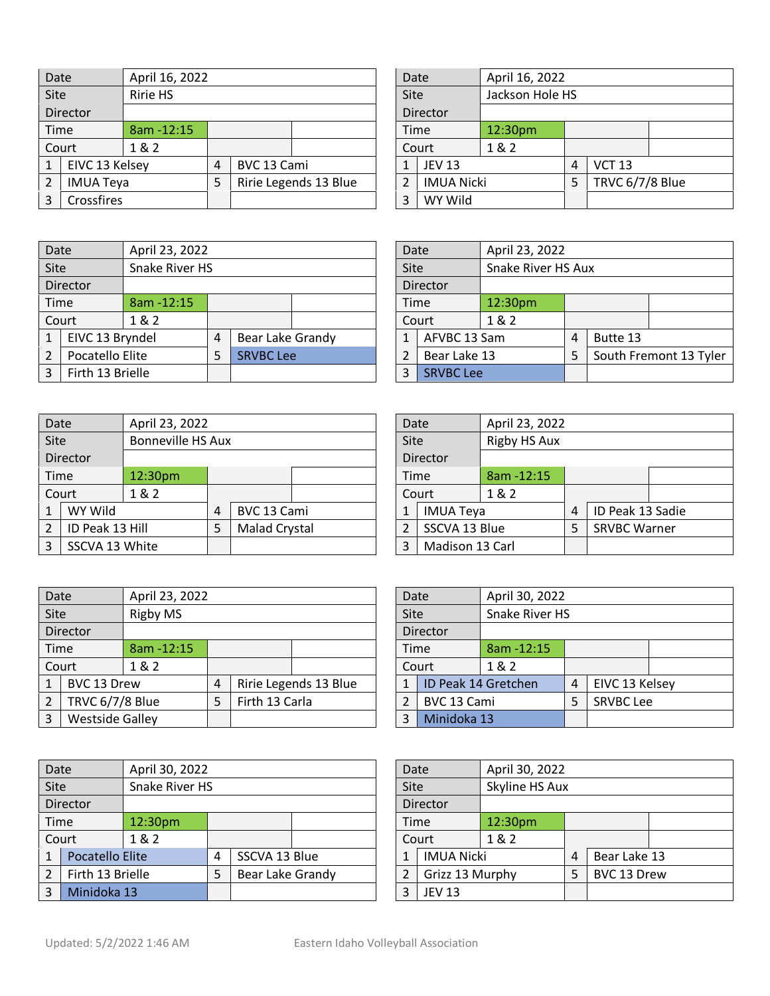| Date |                  |                            | April 16, 2022 |             |                   |  | Date                    |               | April 16, 2022  |   |               |  |
|------|------------------|----------------------------|----------------|-------------|-------------------|--|-------------------------|---------------|-----------------|---|---------------|--|
| Site |                  | <b>Ririe HS</b>            |                |             |                   |  | Jackson Hole HS<br>Site |               |                 |   |               |  |
|      | Director         |                            |                |             |                   |  | Director                |               |                 |   |               |  |
| Time |                  | $8am - 12:15$              |                |             |                   |  | Time                    |               | 12:30pm         |   |               |  |
|      | Court            | 1& 2                       |                |             |                   |  |                         | Court         | 1&2             |   |               |  |
| 1    | EIVC 13 Kelsey   |                            | 4              | BVC 13 Cami |                   |  |                         | <b>JEV 13</b> |                 | 4 | <b>VCT 13</b> |  |
| 2    | <b>IMUA Teya</b> | Ririe Legends 13 Blue<br>5 |                |             | <b>IMUA Nicki</b> |  |                         | 5             | TRVC 6/7/8 Blue |   |               |  |
| 3    | Crossfires       |                            |                | 3           | WY Wild           |  |                         |               |                 |   |               |  |

| Date           |                   | April 16, 2022  |   |                 |  |
|----------------|-------------------|-----------------|---|-----------------|--|
| Site           |                   | Jackson Hole HS |   |                 |  |
|                | <b>Director</b>   |                 |   |                 |  |
| Time           |                   | 12:30pm         |   |                 |  |
|                | Court             | 1 & 2           |   |                 |  |
| $\mathbf{1}$   | <b>JEV 13</b>     |                 | 4 | <b>VCT 13</b>   |  |
| $\overline{2}$ | <b>IMUA Nicki</b> |                 |   | TRVC 6/7/8 Blue |  |
| 3              | WY Wild           |                 |   |                 |  |

| Date |                  | April 23, 2022 |   |                  |  | Date |                  | April 23, 2022      |   |          |                        |  |
|------|------------------|----------------|---|------------------|--|------|------------------|---------------------|---|----------|------------------------|--|
| Site |                  | Snake River HS |   |                  |  | Site |                  | Snake River HS Aux  |   |          |                        |  |
|      | Director         |                |   |                  |  |      | Director         |                     |   |          |                        |  |
|      | Time             | $8am - 12:15$  |   |                  |  | Time |                  | 12:30 <sub>pm</sub> |   |          |                        |  |
|      | Court            | 1&2            |   |                  |  |      | Court            | 1&2                 |   |          |                        |  |
|      | EIVC 13 Bryndel  |                | 4 | Bear Lake Grandy |  |      | AFVBC 13 Sam     |                     | 4 | Butte 13 |                        |  |
|      | Pocatello Elite  |                | 5 | <b>SRVBC Lee</b> |  |      | Bear Lake 13     |                     | 5 |          | South Fremont 13 Tyler |  |
| 3    | Firth 13 Brielle |                |   |                  |  | 3    | <b>SRVBC Lee</b> |                     |   |          |                        |  |

| Date                         |              |         | April 23, 2022     |          |                        |  |  |  |  |  |
|------------------------------|--------------|---------|--------------------|----------|------------------------|--|--|--|--|--|
| Site                         |              |         | Snake River HS Aux |          |                        |  |  |  |  |  |
|                              | Director     |         |                    |          |                        |  |  |  |  |  |
| Time                         |              | 12:30pm |                    |          |                        |  |  |  |  |  |
|                              | Court        | 1 & 2   |                    |          |                        |  |  |  |  |  |
| AFVBC 13 Sam<br>$\mathbf{1}$ |              |         | 4                  | Butte 13 |                        |  |  |  |  |  |
| 2                            | Bear Lake 13 |         |                    |          | South Fremont 13 Tyler |  |  |  |  |  |
| <b>SRVBC Lee</b><br>3        |              |         |                    |          |                        |  |  |  |  |  |

| Date                     |                 | April 23, 2022 |                          |                      |                 |  | Date                 |                  | April 23, 2022 |                |                     |  |
|--------------------------|-----------------|----------------|--------------------------|----------------------|-----------------|--|----------------------|------------------|----------------|----------------|---------------------|--|
| Site                     |                 |                | <b>Bonneville HS Aux</b> |                      |                 |  | Rigby HS Aux<br>Site |                  |                |                |                     |  |
|                          | Director        |                |                          |                      |                 |  | Director             |                  |                |                |                     |  |
|                          | Time            | 12:30pm        |                          |                      |                 |  | Time                 |                  | $8am - 12:15$  |                |                     |  |
|                          | Court           | 1&2            |                          |                      |                 |  |                      | Court            | 1&2            |                |                     |  |
|                          | WY Wild         |                | 4                        | BVC 13 Cami          |                 |  |                      | <b>IMUA Teya</b> |                | $\overline{4}$ | ID Peak 13 Sadie    |  |
| $\overline{\mathcal{L}}$ | ID Peak 13 Hill |                | 5                        | <b>Malad Crystal</b> |                 |  |                      | SSCVA 13 Blue    |                | 5              | <b>SRVBC Warner</b> |  |
| 3                        | SSCVA 13 White  |                |                          | 3                    | Madison 13 Carl |  |                      |                  |                |                |                     |  |

|                      | April 23, 2022                                   |                                   |  |                                         |  |  |  |  |
|----------------------|--------------------------------------------------|-----------------------------------|--|-----------------------------------------|--|--|--|--|
|                      | <b>Rigby HS Aux</b>                              |                                   |  |                                         |  |  |  |  |
|                      |                                                  |                                   |  |                                         |  |  |  |  |
|                      | 8am-12:15                                        |                                   |  |                                         |  |  |  |  |
|                      | 1 & 2                                            |                                   |  |                                         |  |  |  |  |
|                      |                                                  | 4                                 |  |                                         |  |  |  |  |
|                      |                                                  | 5                                 |  |                                         |  |  |  |  |
| Madison 13 Carl<br>3 |                                                  |                                   |  |                                         |  |  |  |  |
|                      | Date<br>Site<br><b>Director</b><br>Time<br>Court | <b>IMUA Teya</b><br>SSCVA 13 Blue |  | ID Peak 13 Sadie<br><b>SRVBC Warner</b> |  |  |  |  |

| Date           |                 | April 23, 2022         |   |                |                       |               | Date                          |               | April 30, 2022      |   |                  |  |
|----------------|-----------------|------------------------|---|----------------|-----------------------|---------------|-------------------------------|---------------|---------------------|---|------------------|--|
| Site           |                 | Rigby MS               |   |                |                       |               | Snake River HS<br><b>Site</b> |               |                     |   |                  |  |
|                | Director        |                        |   |                |                       |               | Director                      |               |                     |   |                  |  |
| Time           |                 | 8am - 12:15            |   |                |                       | Time          |                               | $8am - 12:15$ |                     |   |                  |  |
|                | Court           | 1&2                    |   |                |                       |               |                               | Court         | 1&2                 |   |                  |  |
| 1              | BVC 13 Drew     |                        | 4 |                | Ririe Legends 13 Blue |               |                               |               | ID Peak 14 Gretchen | 4 | EIVC 13 Kelsey   |  |
| $\overline{2}$ | TRVC 6/7/8 Blue |                        | 5 | Firth 13 Carla |                       | $\mathcal{P}$ |                               | BVC 13 Cami   |                     |   | <b>SRVBC Lee</b> |  |
| 3              |                 | <b>Westside Galley</b> |   |                | 3                     | Minidoka 13   |                               |               |                     |   |                  |  |

| Date           |                  | April 30, 2022 |   |               |                  | Date                   |                 | April 30, 2022    |     |             |              |  |
|----------------|------------------|----------------|---|---------------|------------------|------------------------|-----------------|-------------------|-----|-------------|--------------|--|
| Site           |                  | Snake River HS |   |               |                  | Skyline HS Aux<br>Site |                 |                   |     |             |              |  |
|                | Director         |                |   |               |                  | Director               |                 |                   |     |             |              |  |
| <b>Time</b>    |                  | 12:30pm        |   |               | Time             |                        | 12:30pm         |                   |     |             |              |  |
|                | Court            | 1&2            |   |               |                  |                        |                 | Court             | 1&2 |             |              |  |
|                | Pocatello Elite  |                | 4 | SSCVA 13 Blue |                  |                        |                 | <b>IMUA Nicki</b> |     | 4           | Bear Lake 13 |  |
| $\overline{2}$ | Firth 13 Brielle |                | 5 |               | Bear Lake Grandy |                        | Grizz 13 Murphy |                   | 5   | BVC 13 Drew |              |  |
| 3              | Minidoka 13      |                |   |               |                  |                        | 3               | <b>JEV 13</b>     |     |             |              |  |

| Date             |                 | April 30, 2022        |   |                  |  |  |  |
|------------------|-----------------|-----------------------|---|------------------|--|--|--|
| Site             |                 | <b>Snake River HS</b> |   |                  |  |  |  |
|                  | <b>Director</b> |                       |   |                  |  |  |  |
| Time             |                 | 8am-12:15             |   |                  |  |  |  |
|                  | Court           | 1 & 2                 |   |                  |  |  |  |
| 1                |                 | ID Peak 14 Gretchen   | 4 | EIVC 13 Kelsey   |  |  |  |
| BVC 13 Cami<br>2 |                 |                       | 5 | <b>SRVBC Lee</b> |  |  |  |
| Minidoka 13<br>3 |                 |                       |   |                  |  |  |  |

| Date                 |                   | April 30, 2022 |                  |              |  |  |  |  |
|----------------------|-------------------|----------------|------------------|--------------|--|--|--|--|
| Site                 |                   | Skyline HS Aux |                  |              |  |  |  |  |
|                      | <b>Director</b>   |                |                  |              |  |  |  |  |
| Time                 |                   | 12:30pm        |                  |              |  |  |  |  |
|                      | Court             | 1 & 2          |                  |              |  |  |  |  |
| 1                    | <b>IMUA Nicki</b> |                | 4                | Bear Lake 13 |  |  |  |  |
| Grizz 13 Murphy<br>2 |                   |                | BVC 13 Drew<br>5 |              |  |  |  |  |
| <b>JEV 13</b><br>3   |                   |                |                  |              |  |  |  |  |
|                      |                   |                |                  |              |  |  |  |  |